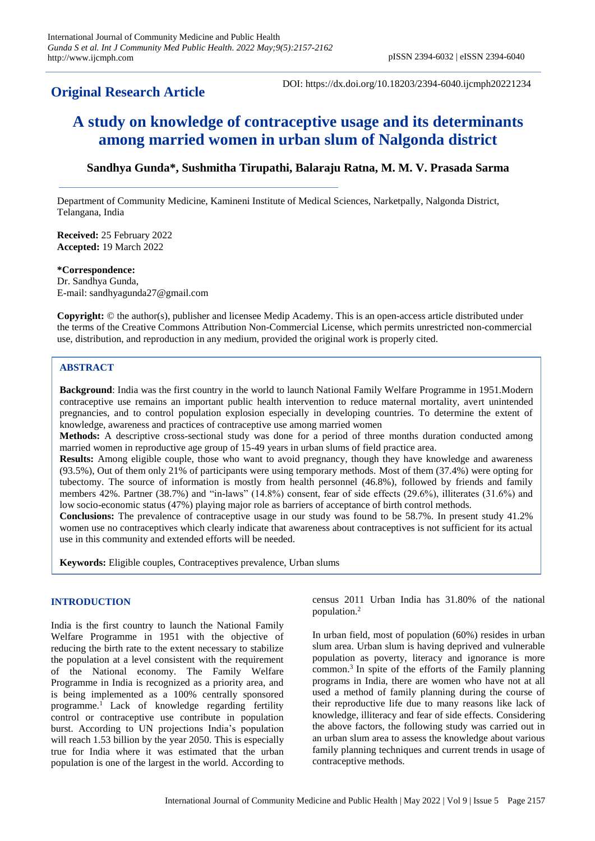## **Original Research Article**

DOI: https://dx.doi.org/10.18203/2394-6040.ijcmph20221234

# **A study on knowledge of contraceptive usage and its determinants among married women in urban slum of Nalgonda district**

### **Sandhya Gunda\*, Sushmitha Tirupathi, Balaraju Ratna, M. M. V. Prasada Sarma**

Department of Community Medicine, Kamineni Institute of Medical Sciences, Narketpally, Nalgonda District, Telangana, India

**Received:** 25 February 2022 **Accepted:** 19 March 2022

**\*Correspondence:** Dr. Sandhya Gunda, E-mail: sandhyagunda27@gmail.com

**Copyright:** © the author(s), publisher and licensee Medip Academy. This is an open-access article distributed under the terms of the Creative Commons Attribution Non-Commercial License, which permits unrestricted non-commercial use, distribution, and reproduction in any medium, provided the original work is properly cited.

#### **ABSTRACT**

**Background**: India was the first country in the world to launch National Family Welfare Programme in 1951.Modern contraceptive use remains an important public health intervention to reduce maternal mortality, avert unintended pregnancies, and to control population explosion especially in developing countries. To determine the extent of knowledge, awareness and practices of contraceptive use among married women

**Methods:** A descriptive cross-sectional study was done for a period of three months duration conducted among married women in reproductive age group of 15-49 years in urban slums of field practice area.

**Results:** Among eligible couple, those who want to avoid pregnancy, though they have knowledge and awareness (93.5%), Out of them only 21% of participants were using temporary methods. Most of them (37.4%) were opting for tubectomy. The source of information is mostly from health personnel (46.8%), followed by friends and family members 42%. Partner (38.7%) and "in-laws" (14.8%) consent, fear of side effects (29.6%), illiterates (31.6%) and low socio-economic status (47%) playing major role as barriers of acceptance of birth control methods.

**Conclusions:** The prevalence of contraceptive usage in our study was found to be 58.7%. In present study 41.2% women use no contraceptives which clearly indicate that awareness about contraceptives is not sufficient for its actual use in this community and extended efforts will be needed.

**Keywords:** Eligible couples, Contraceptives prevalence, Urban slums

#### **INTRODUCTION**

India is the first country to launch the National Family Welfare Programme in 1951 with the objective of reducing the birth rate to the extent necessary to stabilize the population at a level consistent with the requirement of the National economy. The Family Welfare Programme in India is recognized as a priority area, and is being implemented as a 100% centrally sponsored programme.<sup>1</sup> Lack of knowledge regarding fertility control or contraceptive use contribute in population burst. According to UN projections India's population will reach 1.53 billion by the year 2050. This is especially true for India where it was estimated that the urban population is one of the largest in the world. According to census 2011 Urban India has 31.80% of the national population. 2

In urban field, most of population (60%) resides in urban slum area. Urban slum is having deprived and vulnerable population as poverty, literacy and ignorance is more common. 3 In spite of the efforts of the Family planning programs in India, there are women who have not at all used a method of family planning during the course of their reproductive life due to many reasons like lack of knowledge, illiteracy and fear of side effects. Considering the above factors, the following study was carried out in an urban slum area to assess the knowledge about various family planning techniques and current trends in usage of contraceptive methods.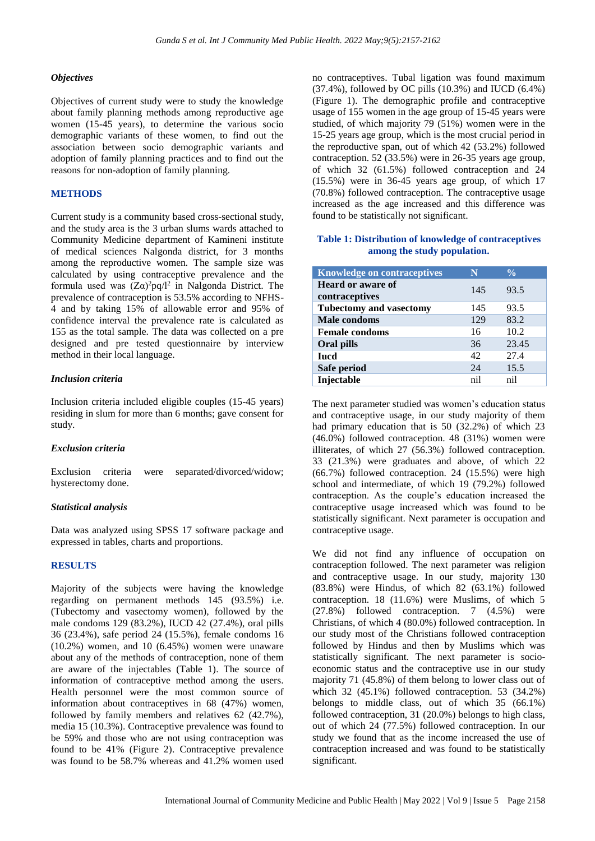#### *Objectives*

Objectives of current study were to study the knowledge about family planning methods among reproductive age women (15-45 years), to determine the various socio demographic variants of these women, to find out the association between socio demographic variants and adoption of family planning practices and to find out the reasons for non-adoption of family planning.

#### **METHODS**

Current study is a community based cross-sectional study, and the study area is the 3 urban slums wards attached to Community Medicine department of Kamineni institute of medical sciences Nalgonda district, for 3 months among the reproductive women. The sample size was calculated by using contraceptive prevalence and the formula used was  $(Z\alpha)^2 pq/l^2$  in Nalgonda District. The prevalence of contraception is 53.5% according to NFHS-4 and by taking 15% of allowable error and 95% of confidence interval the prevalence rate is calculated as 155 as the total sample. The data was collected on a pre designed and pre tested questionnaire by interview method in their local language.

#### *Inclusion criteria*

Inclusion criteria included eligible couples (15-45 years) residing in slum for more than 6 months; gave consent for study.

#### *Exclusion criteria*

Exclusion criteria were separated/divorced/widow; hysterectomy done.

#### *Statistical analysis*

Data was analyzed using SPSS 17 software package and expressed in tables, charts and proportions.

#### **RESULTS**

Majority of the subjects were having the knowledge regarding on permanent methods 145 (93.5%) i.e. (Tubectomy and vasectomy women), followed by the male condoms 129 (83.2%), IUCD 42 (27.4%), oral pills 36 (23.4%), safe period 24 (15.5%), female condoms 16 (10.2%) women, and 10 (6.45%) women were unaware about any of the methods of contraception, none of them are aware of the injectables (Table 1). The source of information of contraceptive method among the users. Health personnel were the most common source of information about contraceptives in 68 (47%) women, followed by family members and relatives 62 (42.7%), media 15 (10.3%). Contraceptive prevalence was found to be 59% and those who are not using contraception was found to be 41% (Figure 2). Contraceptive prevalence was found to be 58.7% whereas and 41.2% women used

no contraceptives. Tubal ligation was found maximum (37.4%), followed by OC pills (10.3%) and IUCD (6.4%) (Figure 1). The demographic profile and contraceptive usage of 155 women in the age group of 15-45 years were studied, of which majority 79 (51%) women were in the 15-25 years age group, which is the most crucial period in the reproductive span, out of which 42 (53.2%) followed contraception. 52 (33.5%) were in 26-35 years age group, of which 32 (61.5%) followed contraception and 24 (15.5%) were in 36-45 years age group, of which 17 (70.8%) followed contraception. The contraceptive usage increased as the age increased and this difference was found to be statistically not significant.

#### **Table 1: Distribution of knowledge of contraceptives among the study population.**

| <b>Knowledge on contraceptives</b>  |     | $\frac{0}{\alpha}$ |
|-------------------------------------|-----|--------------------|
| Heard or aware of<br>contraceptives | 145 | 93.5               |
| <b>Tubectomy and vasectomy</b>      | 145 | 93.5               |
| Male condoms                        | 129 | 83.2               |
| <b>Female condoms</b>               | 16  | 10.2               |
| <b>Oral pills</b>                   | 36  | 23.45              |
| <b>Iucd</b>                         | 42  | 27.4               |
| Safe period                         | 24  | 15.5               |
| Injectable                          | nil | ni1                |

The next parameter studied was women's education status and contraceptive usage, in our study majority of them had primary education that is 50 (32.2%) of which 23 (46.0%) followed contraception. 48 (31%) women were illiterates, of which 27 (56.3%) followed contraception. 33 (21.3%) were graduates and above, of which 22 (66.7%) followed contraception. 24 (15.5%) were high school and intermediate, of which 19 (79.2%) followed contraception. As the couple's education increased the contraceptive usage increased which was found to be statistically significant. Next parameter is occupation and contraceptive usage.

We did not find any influence of occupation on contraception followed. The next parameter was religion and contraceptive usage. In our study, majority 130 (83.8%) were Hindus, of which 82 (63.1%) followed contraception. 18 (11.6%) were Muslims, of which 5 (27.8%) followed contraception. 7 (4.5%) were Christians, of which 4 (80.0%) followed contraception. In our study most of the Christians followed contraception followed by Hindus and then by Muslims which was statistically significant. The next parameter is socioeconomic status and the contraceptive use in our study majority 71 (45.8%) of them belong to lower class out of which 32 (45.1%) followed contraception. 53 (34.2%) belongs to middle class, out of which 35 (66.1%) followed contraception, 31 (20.0%) belongs to high class, out of which 24 (77.5%) followed contraception. In our study we found that as the income increased the use of contraception increased and was found to be statistically significant.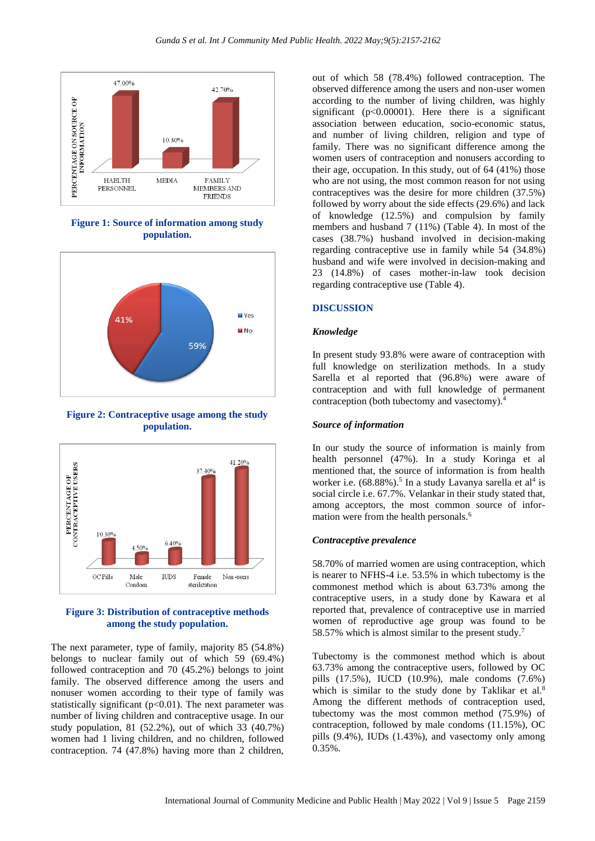

**Figure 1: Source of information among study population.**



**Figure 2: Contraceptive usage among the study population.**



#### **Figure 3: Distribution of contraceptive methods among the study population.**

The next parameter, type of family, majority 85 (54.8%) belongs to nuclear family out of which 59 (69.4%) followed contraception and 70 (45.2%) belongs to joint family. The observed difference among the users and nonuser women according to their type of family was statistically significant ( $p<0.01$ ). The next parameter was number of living children and contraceptive usage. In our study population, 81 (52.2%), out of which 33 (40.7%) women had 1 living children, and no children, followed contraception. 74 (47.8%) having more than 2 children,

out of which 58 (78.4%) followed contraception. The observed difference among the users and non-user women according to the number of living children, was highly significant  $(p<0.00001)$ . Here there is a significant association between education, socio-economic status, and number of living children, religion and type of family. There was no significant difference among the women users of contraception and nonusers according to their age, occupation. In this study, out of 64 (41%) those who are not using, the most common reason for not using contraceptives was the desire for more children (37.5%) followed by worry about the side effects (29.6%) and lack of knowledge (12.5%) and compulsion by family members and husband 7 (11%) (Table 4). In most of the cases (38.7%) husband involved in decision-making regarding contraceptive use in family while 54 (34.8%) husband and wife were involved in decision-making and 23 (14.8%) of cases mother-in-law took decision regarding contraceptive use (Table 4).

#### **DISCUSSION**

#### *Knowledge*

In present study 93.8% were aware of contraception with full knowledge on sterilization methods. In a study Sarella et al reported that (96.8%) were aware of contraception and with full knowledge of permanent contraception (both tubectomy and vasectomy).<sup>4</sup>

#### *Source of information*

In our study the source of information is mainly from health personnel (47%). In a study Koringa et al mentioned that, the source of information is from health worker i.e.  $(68.88\%)$ <sup>5</sup> In a study Lavanya sarella et al<sup>4</sup> is social circle i.e. 67.7%. Velankar in their study stated that, among acceptors, the most common source of information were from the health personals.<sup>6</sup>

#### *Contraceptive prevalence*

58.70% of married women are using contraception, which is nearer to NFHS-4 i.e. 53.5% in which tubectomy is the commonest method which is about 63.73% among the contraceptive users, in a study done by Kawara et al reported that, prevalence of contraceptive use in married women of reproductive age group was found to be 58.57% which is almost similar to the present study.<sup>7</sup>

Tubectomy is the commonest method which is about 63.73% among the contraceptive users, followed by OC pills (17.5%), IUCD (10.9%), male condoms (7.6%) which is similar to the study done by Taklikar et al.<sup>8</sup> Among the different methods of contraception used, tubectomy was the most common method (75.9%) of contraception, followed by male condoms (11.15%), OC pills (9.4%), IUDs (1.43%), and vasectomy only among 0.35%.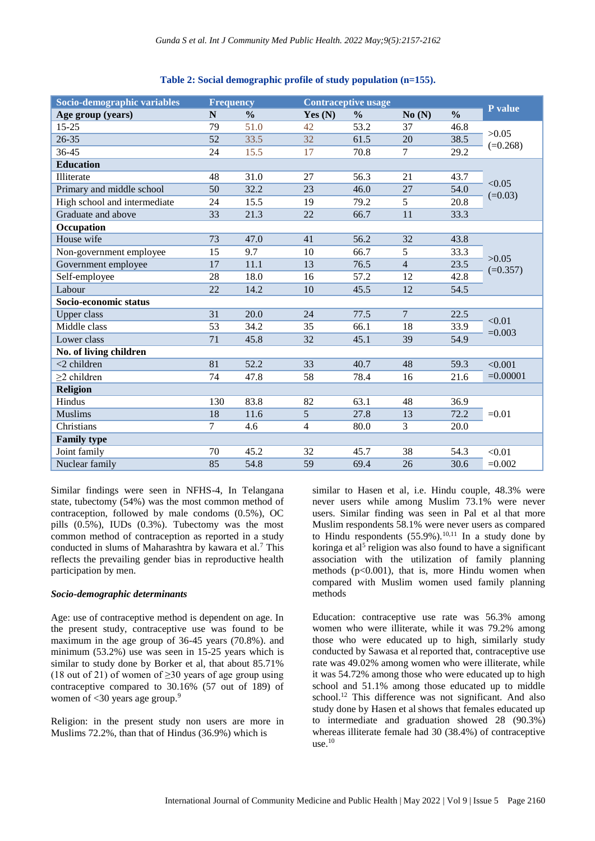| Socio-demographic variables  |                 | <b>Contraceptive usage</b><br><b>Frequency</b> |                |               |                |               |                     |
|------------------------------|-----------------|------------------------------------------------|----------------|---------------|----------------|---------------|---------------------|
| Age group (years)            | N               | $\frac{0}{0}$                                  | Yes $(N)$      | $\frac{0}{0}$ | No(N)          | $\frac{0}{0}$ | P value             |
| $15 - 25$                    | 79              | 51.0                                           | 42             | 53.2          | 37             | 46.8          |                     |
| $26 - 35$                    | 52              | 33.5                                           | 32             | 61.5          | 20             | 38.5          | >0.05<br>$(=0.268)$ |
| 36-45                        | 24              | 15.5                                           | 17             | 70.8          | $\overline{7}$ | 29.2          |                     |
| <b>Education</b>             |                 |                                                |                |               |                |               |                     |
| Illiterate                   | 48              | 31.0                                           | 27             | 56.3          | 21             | 43.7          |                     |
| Primary and middle school    | 50              | 32.2                                           | 23             | 46.0          | 27             | 54.0          | < 0.05<br>$(=0.03)$ |
| High school and intermediate | 24              | 15.5                                           | 19             | 79.2          | 5              | 20.8          |                     |
| Graduate and above           | 33              | 21.3                                           | 22             | 66.7          | 11             | 33.3          |                     |
| Occupation                   |                 |                                                |                |               |                |               |                     |
| House wife                   | $\overline{73}$ | 47.0                                           | 41             | 56.2          | 32             | 43.8          |                     |
| Non-government employee      | 15              | 9.7                                            | 10             | 66.7          | 5              | 33.3          |                     |
| Government employee          | 17              | 11.1                                           | 13             | 76.5          | $\overline{4}$ | 23.5          | >0.05<br>$(=0.357)$ |
| Self-employee                | 28              | 18.0                                           | 16             | 57.2          | 12             | 42.8          |                     |
| Labour                       | 22              | 14.2                                           | 10             | 45.5          | 12             | 54.5          |                     |
| Socio-economic status        |                 |                                                |                |               |                |               |                     |
| <b>Upper class</b>           | $\overline{31}$ | 20.0                                           | 24             | 77.5          | $\overline{7}$ | 22.5          |                     |
| Middle class                 | 53              | 34.2                                           | 35             | 66.1          | 18             | 33.9          | < 0.01<br>$=0.003$  |
| Lower class                  | 71              | 45.8                                           | 32             | 45.1          | 39             | 54.9          |                     |
| No. of living children       |                 |                                                |                |               |                |               |                     |
| <2 children                  | 81              | 52.2                                           | 33             | 40.7          | 48             | 59.3          | < 0.001             |
| $\geq$ 2 children            | 74              | 47.8                                           | 58             | 78.4          | 16             | 21.6          | $=0.00001$          |
| <b>Religion</b>              |                 |                                                |                |               |                |               |                     |
| Hindus                       | 130             | 83.8                                           | 82             | 63.1          | 48             | 36.9          |                     |
| <b>Muslims</b>               | 18              | 11.6                                           | 5              | 27.8          | 13             | 72.2          | $=0.01$             |
| Christians                   | $\tau$          | 4.6                                            | $\overline{4}$ | 80.0          | 3              | 20.0          |                     |
| <b>Family type</b>           |                 |                                                |                |               |                |               |                     |
| Joint family                 | 70              | 45.2                                           | 32             | 45.7          | 38             | 54.3          | < 0.01              |
| Nuclear family               | 85              | 54.8                                           | 59             | 69.4          | 26             | 30.6          | $=0.002$            |

**Table 2: Social demographic profile of study population (n=155).**

Similar findings were seen in NFHS-4, In Telangana state, tubectomy (54%) was the most common method of contraception, followed by male condoms (0.5%), OC pills (0.5%), IUDs (0.3%). Tubectomy was the most common method of contraception as reported in a study conducted in slums of Maharashtra by kawara et al.<sup>7</sup> This reflects the prevailing gender bias in reproductive health participation by men.

#### *Socio-demographic determinants*

Age: use of contraceptive method is dependent on age. In the present study, contraceptive use was found to be maximum in the age group of 36-45 years (70.8%). and minimum (53.2%) use was seen in 15-25 years which is similar to study done by Borker et al, that about 85.71% (18 out of 21) of women of  $\geq$ 30 years of age group using contraceptive compared to 30.16% (57 out of 189) of women of <30 years age group.<sup>9</sup>

Religion: in the present study non users are more in Muslims 72.2%, than that of Hindus (36.9%) which is

similar to Hasen et al, i.e. Hindu couple, 48.3% were never users while among Muslim 73.1% were never users. Similar finding was seen in Pal et al that more Muslim respondents 58.1% were never users as compared to Hindu respondents  $(55.9\%)$ .<sup>10,11</sup> In a study done by koringa et al<sup>5</sup> religion was also found to have a significant association with the utilization of family planning methods  $(p<0.001)$ , that is, more Hindu women when compared with Muslim women used family planning methods

Education: contraceptive use rate was 56.3% among women who were illiterate, while it was 79.2% among those who were educated up to high, similarly study conducted by Sawasa et al reported that, contraceptive use rate was 49.02% among women who were illiterate, while it was 54.72% among those who were educated up to high school and 51.1% among those educated up to middle school.<sup>12</sup> This difference was not significant. And also study done by Hasen et al shows that females educated up to intermediate and graduation showed 28 (90.3%) whereas illiterate female had 30 (38.4%) of contraceptive use. $10$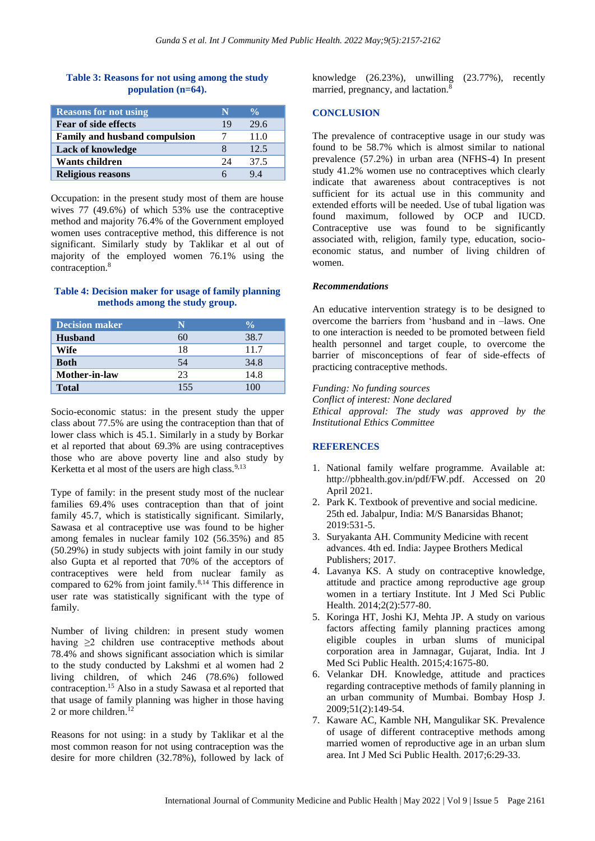#### **Table 3: Reasons for not using among the study population (n=64).**

| <b>Reasons for not using</b>  |    | $\frac{1}{2}$ |
|-------------------------------|----|---------------|
| <b>Fear of side effects</b>   | 19 | 29.6          |
| Family and husband compulsion |    | 11.0          |
| <b>Lack of knowledge</b>      |    | 12.5          |
| Wants children                | 24 | 37.5          |
| <b>Religious reasons</b>      |    | 94            |

Occupation: in the present study most of them are house wives 77 (49.6%) of which 53% use the contraceptive method and majority 76.4% of the Government employed women uses contraceptive method, this difference is not significant. Similarly study by Taklikar et al out of majority of the employed women 76.1% using the contraception.<sup>8</sup>

#### **Table 4: Decision maker for usage of family planning methods among the study group.**

| Decision maker       | N   | $\frac{6}{10}$ |
|----------------------|-----|----------------|
| <b>Husband</b>       | 60  | 38.7           |
| Wife                 | 18  | 11.7           |
| <b>Both</b>          | 54  | 34.8           |
| <b>Mother-in-law</b> | 23  | 14.8           |
| <b>Total</b>         | 155 |                |

Socio-economic status: in the present study the upper class about 77.5% are using the contraception than that of lower class which is 45.1. Similarly in a study by Borkar et al reported that about 69.3% are using contraceptives those who are above poverty line and also study by Kerketta et al most of the users are high class.<sup>9,13</sup>

Type of family: in the present study most of the nuclear families 69.4% uses contraception than that of joint family 45.7, which is statistically significant. Similarly, Sawasa et al contraceptive use was found to be higher among females in nuclear family 102 (56.35%) and 85 (50.29%) in study subjects with joint family in our study also Gupta et al reported that 70% of the acceptors of contraceptives were held from nuclear family as compared to 62% from joint family.<sup>8,14</sup> This difference in user rate was statistically significant with the type of family.

Number of living children: in present study women having >2 children use contraceptive methods about 78.4% and shows significant association which is similar to the study conducted by Lakshmi et al women had 2 living children, of which 246 (78.6%) followed contraception.<sup>15</sup> Also in a study Sawasa et al reported that that usage of family planning was higher in those having 2 or more children. 12

Reasons for not using: in a study by Taklikar et al the most common reason for not using contraception was the desire for more children (32.78%), followed by lack of knowledge (26.23%), unwilling (23.77%), recently married, pregnancy, and lactation. $8$ 

#### **CONCLUSION**

The prevalence of contraceptive usage in our study was found to be 58.7% which is almost similar to national prevalence (57.2%) in urban area (NFHS-4) In present study 41.2% women use no contraceptives which clearly indicate that awareness about contraceptives is not sufficient for its actual use in this community and extended efforts will be needed. Use of tubal ligation was found maximum, followed by OCP and IUCD. Contraceptive use was found to be significantly associated with, religion, family type, education, socioeconomic status, and number of living children of women.

#### *Recommendations*

An educative intervention strategy is to be designed to overcome the barriers from 'husband and in –laws. One to one interaction is needed to be promoted between field health personnel and target couple, to overcome the barrier of misconceptions of fear of side-effects of practicing contraceptive methods.

*Funding: No funding sources Conflict of interest: None declared Ethical approval: The study was approved by the Institutional Ethics Committee*

#### **REFERENCES**

- 1. National family welfare programme. Available at: [http://pbhealth.gov.in/pdf/FW.pdf.](http://pbhealth.gov.in/pdf/FW.pdf) Accessed on 20 April 2021.
- 2. Park K. Textbook of preventive and social medicine. 25th ed. Jabalpur, India: M/S Banarsidas Bhanot; 2019:531-5.
- 3. Suryakanta AH. Community Medicine with recent advances. 4th ed. India: Jaypee Brothers Medical Publishers; 2017.
- 4. Lavanya KS. A study on contraceptive knowledge, attitude and practice among reproductive age group women in a tertiary Institute. Int J Med Sci Public Health. 2014;2(2):577-80.
- 5. Koringa HT, Joshi KJ, Mehta JP. A study on various factors affecting family planning practices among eligible couples in urban slums of municipal corporation area in Jamnagar, Gujarat, India. Int J Med Sci Public Health. 2015;4:1675-80.
- 6. Velankar DH. Knowledge, attitude and practices regarding contraceptive methods of family planning in an urban community of Mumbai. Bombay Hosp J. 2009;51(2):149-54.
- 7. Kaware AC, Kamble NH, Mangulikar SK. Prevalence of usage of different contraceptive methods among married women of reproductive age in an urban slum area. Int J Med Sci Public Health. 2017;6:29-33.